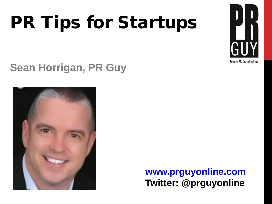#### PR Tips for Startups



**Sean Horrigan, PR Guy**



**www.prguyonline.com Twitter: @prguyonline**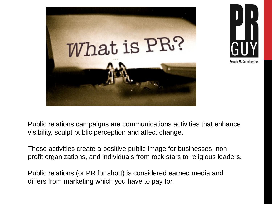



Public relations campaigns are communications activities that enhance visibility, sculpt public perception and affect change.

These activities create a positive public image for businesses, nonprofit organizations, and individuals from rock stars to religious leaders.

Public relations (or PR for short) is considered earned media and differs from marketing which you have to pay for.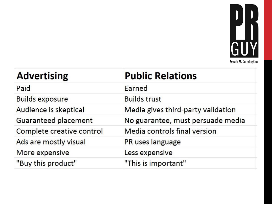

| <b>Advertising</b>        | <b>Public Relations</b>            |
|---------------------------|------------------------------------|
| Paid                      | Earned                             |
| <b>Builds exposure</b>    | <b>Builds trust</b>                |
| Audience is skeptical     | Media gives third-party validation |
| Guaranteed placement      | No guarantee, must persuade media  |
| Complete creative control | Media controls final version       |
| Ads are mostly visual     | PR uses language                   |
| More expensive            | Less expensive                     |
| "Buy this product"        | "This is important"                |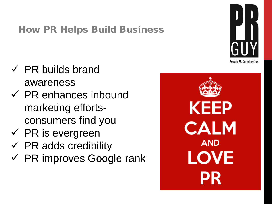#### How PR Helps Build Business

- $\checkmark$  PR builds brand awareness
- $\checkmark$  PR enhances inbound marketing effortsconsumers find you
- $\checkmark$  PR is evergreen
- $\checkmark$  PR adds credibility
- $\checkmark$  PR improves Google rank



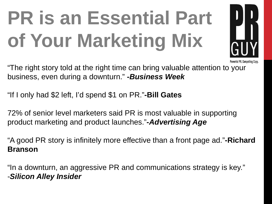#### **PR is an Essential Part of Your Marketing Mix**



"The right story told at the right time can bring valuable attention to your business, even during a downturn." **-***Business Week*

"If I only had \$2 left, I'd spend \$1 on PR."**-Bill Gates**

72% of senior level marketers said PR is most valuable in supporting product marketing and product launches."**-***Advertising Age*

"A good PR story is infinitely more effective than a front page ad."**-Richard Branson**

"In a downturn, an aggressive PR and communications strategy is key." -*Silicon Alley Insider*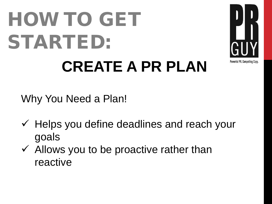#### HOW TO GET STARTED: **CREATE A PR PLAN**



Why You Need a Plan!

- $\checkmark$  Helps you define deadlines and reach your goals
- $\checkmark$  Allows you to be proactive rather than reactive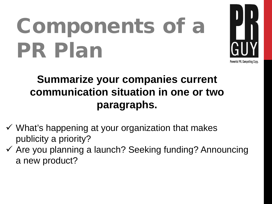## Components of a PR Plan



#### **Summarize your companies current communication situation in one or two paragraphs.**

- $\checkmark$  What's happening at your organization that makes publicity a priority?
- $\checkmark$  Are you planning a launch? Seeking funding? Announcing a new product?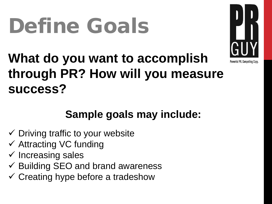#### Define Goals



#### **What do you want to accomplish through PR? How will you measure success?**

#### **Sample goals may include:**

- $\checkmark$  Driving traffic to your website
- $\checkmark$  Attracting VC funding
- $\checkmark$  Increasing sales
- $\checkmark$  Building SEO and brand awareness
- $\checkmark$  Creating hype before a tradeshow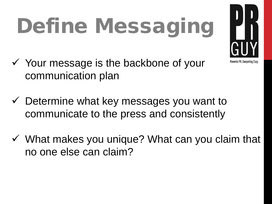# Define Messaging



- $\checkmark$  Your message is the backbone of your communication plan
- $\checkmark$  Determine what key messages you want to communicate to the press and consistently
- $\checkmark$  What makes you unique? What can you claim that no one else can claim?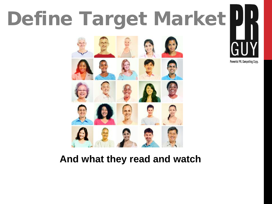## Define Target Market





#### **And what they read and watch**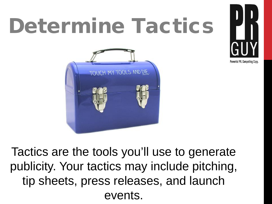#### Determine Tactics





Tactics are the tools you'll use to generate publicity. Your tactics may include pitching, tip sheets, press releases, and launch events.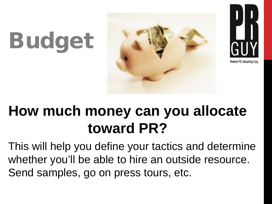# Budget





#### **How much money can you allocate toward PR?**

This will help you define your tactics and determine whether you'll be able to hire an outside resource. Send samples, go on press tours, etc.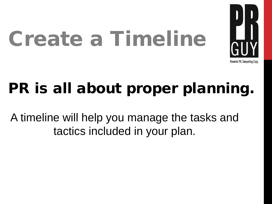# Create a Timeline



#### PR is all about proper planning.

A timeline will help you manage the tasks and tactics included in your plan.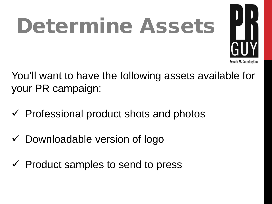## Determine Assets



You'll want to have the following assets available for your PR campaign:

- $\checkmark$  Professional product shots and photos
- $\checkmark$  Downloadable version of logo
- $\checkmark$  Product samples to send to press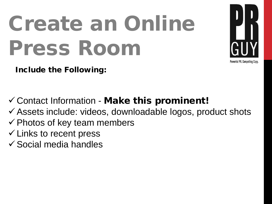## Create an Online Press Room



Include the Following:

 $\checkmark$  Contact Information - Make this prominent!

- Assets include: videos, downloadable logos, product shots
- $\checkmark$  Photos of key team members
- $\checkmark$  Links to recent press
- $\checkmark$  Social media handles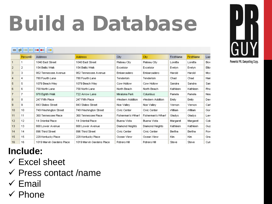## Build a Database





Powerful PR. Compelling Copy.

#### **Include:**

- $\checkmark$  Excel sheet
- $\checkmark$  Press contact /name
- $\checkmark$  Email
- Phone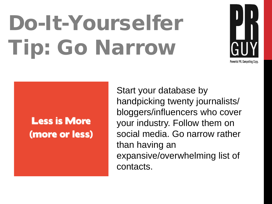## Do-It-Yourselfer Tip: Go Narrow



#### **Less is More** (more or less)

Start your database by handpicking twenty journalists/ bloggers/influencers who cover your industry. Follow them on social media. Go narrow rather than having an expansive/overwhelming list of contacts.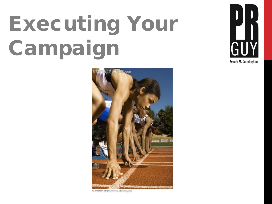## Executing Your Campaign





42-17751654 [RF] @ www.visualphotos.com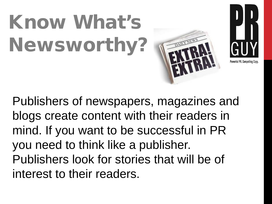## Know What's Newsworthy?





Publishers of newspapers, magazines and blogs create content with their readers in mind. If you want to be successful in PR you need to think like a publisher. Publishers look for stories that will be of interest to their readers.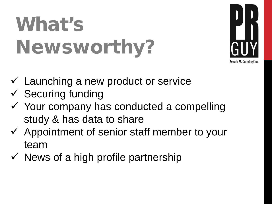#### What's Newsworthy?



- $\checkmark$  Launching a new product or service
- $\checkmark$  Securing funding
- $\checkmark$  Your company has conducted a compelling study & has data to share
- $\checkmark$  Appointment of senior staff member to your team
- $\checkmark$  News of a high profile partnership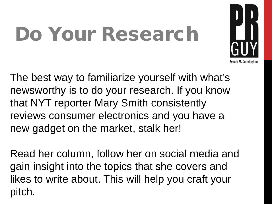#### Do Your Research



The best way to familiarize yourself with what's newsworthy is to do your research. If you know that NYT reporter Mary Smith consistently reviews consumer electronics and you have a new gadget on the market, stalk her!

Read her column, follow her on social media and gain insight into the topics that she covers and likes to write about. This will help you craft your pitch.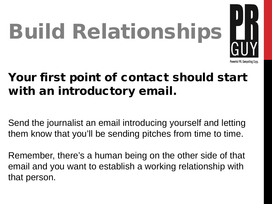

#### Your first point of contact should start with an introductory email.

Send the journalist an email introducing yourself and letting them know that you'll be sending pitches from time to time.

Remember, there's a human being on the other side of that email and you want to establish a working relationship with that person.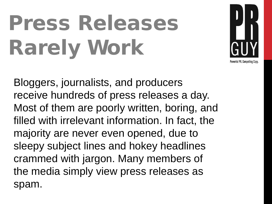# Press Releases Rarely Work



Bloggers, journalists, and producers receive hundreds of press releases a day. Most of them are poorly written, boring, and filled with irrelevant information. In fact, the majority are never even opened, due to sleepy subject lines and hokey headlines crammed with jargon. Many members of the media simply view press releases as spam.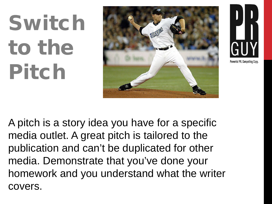# Switch to the Pitch





A pitch is a story idea you have for a specific media outlet. A great pitch is tailored to the publication and can't be duplicated for other media. Demonstrate that you've done your homework and you understand what the writer covers.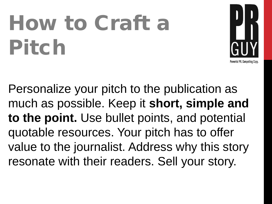## How to Craft a Pitch



Personalize your pitch to the publication as much as possible. Keep it **short, simple and to the point.** Use bullet points, and potential quotable resources. Your pitch has to offer value to the journalist. Address why this story resonate with their readers. Sell your story.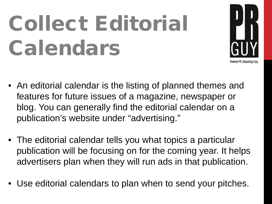## Collect Editorial Calendars



- An editorial calendar is the listing of planned themes and features for future issues of a magazine, newspaper or blog. You can generally find the editorial calendar on a publication's website under "advertising."
- The editorial calendar tells you what topics a particular publication will be focusing on for the coming year. It helps advertisers plan when they will run ads in that publication.
- Use editorial calendars to plan when to send your pitches.